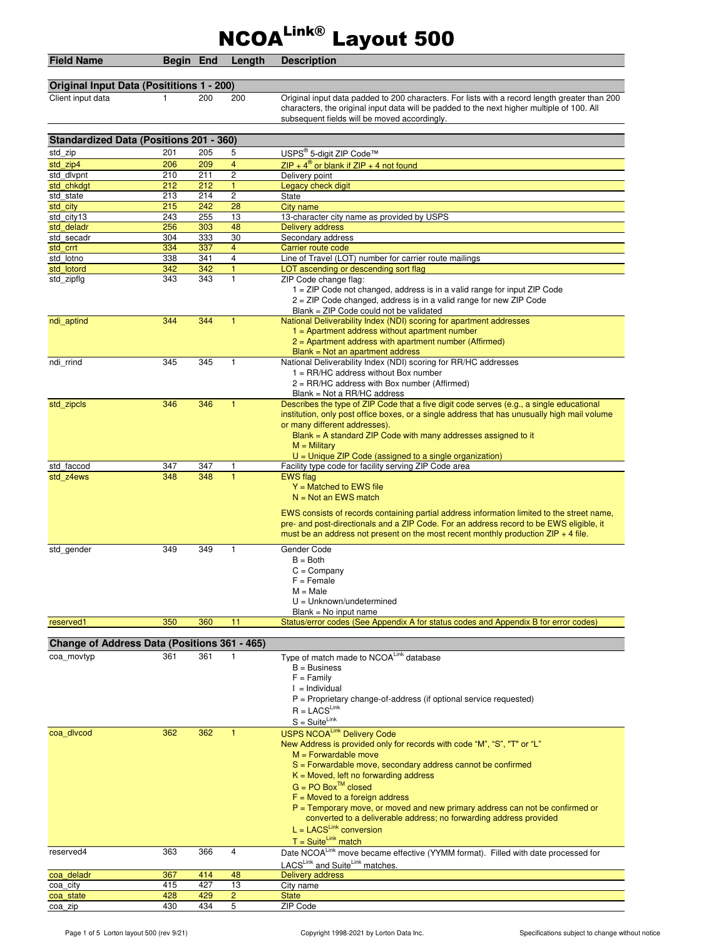## NCOALink® Layout 500

| <b>Field Name</b>                              | Begin End  |            | Length                  | <b>Description</b>                                                                                                                                                                                                                                                                                                                                                                                                                                                                                                              |  |  |  |
|------------------------------------------------|------------|------------|-------------------------|---------------------------------------------------------------------------------------------------------------------------------------------------------------------------------------------------------------------------------------------------------------------------------------------------------------------------------------------------------------------------------------------------------------------------------------------------------------------------------------------------------------------------------|--|--|--|
|                                                |            |            |                         |                                                                                                                                                                                                                                                                                                                                                                                                                                                                                                                                 |  |  |  |
| Original Input Data (Posititions 1 - 200)      |            |            |                         |                                                                                                                                                                                                                                                                                                                                                                                                                                                                                                                                 |  |  |  |
| Client input data                              | 1          | 200        | 200                     | Original input data padded to 200 characters. For lists with a record length greater than 200<br>characters, the original input data will be padded to the next higher multiple of 100. All<br>subsequent fields will be moved accordingly.                                                                                                                                                                                                                                                                                     |  |  |  |
| <b>Standardized Data (Positions 201 - 360)</b> |            |            |                         |                                                                                                                                                                                                                                                                                                                                                                                                                                                                                                                                 |  |  |  |
| std zip                                        | 201        | 205        | 5                       |                                                                                                                                                                                                                                                                                                                                                                                                                                                                                                                                 |  |  |  |
| std zip4                                       | 206        | 209        | $\overline{4}$          | USPS <sup>®</sup> 5-digit ZIP Code™<br>$ZIP + 4^{\circledR}$ or blank if $ZIP + 4$ not found                                                                                                                                                                                                                                                                                                                                                                                                                                    |  |  |  |
| std dlvpnt                                     | 210        | 211        | $\overline{\mathbf{c}}$ | Delivery point                                                                                                                                                                                                                                                                                                                                                                                                                                                                                                                  |  |  |  |
| std chkdat                                     | 212        | 212        | $\mathbf{1}$            | Legacy check digit                                                                                                                                                                                                                                                                                                                                                                                                                                                                                                              |  |  |  |
| std state                                      | 213        | 214        | $\mathbf{2}$            | State                                                                                                                                                                                                                                                                                                                                                                                                                                                                                                                           |  |  |  |
| std city                                       | 215        | 242        | 28                      | City name                                                                                                                                                                                                                                                                                                                                                                                                                                                                                                                       |  |  |  |
| std city13                                     | 243<br>256 | 255<br>303 | 13<br>48                | 13-character city name as provided by USPS                                                                                                                                                                                                                                                                                                                                                                                                                                                                                      |  |  |  |
| std deladr<br>std secadr                       | 304        | 333        | 30                      | <b>Delivery address</b><br>Secondary address                                                                                                                                                                                                                                                                                                                                                                                                                                                                                    |  |  |  |
| std crrt                                       | 334        | 337        | $\overline{4}$          | Carrier route code                                                                                                                                                                                                                                                                                                                                                                                                                                                                                                              |  |  |  |
| std lotno                                      | 338        | 341        | $\overline{4}$          | Line of Travel (LOT) number for carrier route mailings                                                                                                                                                                                                                                                                                                                                                                                                                                                                          |  |  |  |
| std lotord                                     | 342        | 342        | $\mathbf{1}$            | LOT ascending or descending sort flag                                                                                                                                                                                                                                                                                                                                                                                                                                                                                           |  |  |  |
| std_zipflg                                     | 343        | 343        | $\mathbf{1}$            | ZIP Code change flag:<br>1 = ZIP Code not changed, address is in a valid range for input ZIP Code<br>$2 = ZIP$ Code changed, address is in a valid range for new ZIP Code<br>Blank = ZIP Code could not be validated                                                                                                                                                                                                                                                                                                            |  |  |  |
| ndi aptind                                     | 344        | 344        | 1                       | National Deliverability Index (NDI) scoring for apartment addresses<br>$1 =$ Apartment address without apartment number<br>$2$ = Apartment address with apartment number (Affirmed)                                                                                                                                                                                                                                                                                                                                             |  |  |  |
| ndi rrind                                      | 345        | 345        | 1                       | $Blank = Not$ an apartment address<br>National Deliverability Index (NDI) scoring for RR/HC addresses<br>$1 = RR/HC$ address without Box number<br>$2 = RR/HC$ address with Box number (Affirmed)                                                                                                                                                                                                                                                                                                                               |  |  |  |
| std_zipcls                                     | 346        | 346        | $\mathbf{1}$            | Blank = Not a RR/HC address<br>Describes the type of ZIP Code that a five digit code serves (e.g., a single educational<br>institution, only post office boxes, or a single address that has unusually high mail volume<br>or many different addresses).<br>Blank = A standard ZIP Code with many addresses assigned to it<br>$M =$ Military                                                                                                                                                                                    |  |  |  |
| std faccod                                     | 347        | 347        |                         | $U =$ Unique ZIP Code (assigned to a single organization)<br>Facility type code for facility serving ZIP Code area                                                                                                                                                                                                                                                                                                                                                                                                              |  |  |  |
| std z4ews                                      | 348        | 348        |                         | <b>EWS</b> flag<br>$Y =$ Matched to EWS file<br>$N = Not$ an EWS match<br>EWS consists of records containing partial address information limited to the street name,<br>pre- and post-directionals and a ZIP Code. For an address record to be EWS eligible, it<br>must be an address not present on the most recent monthly production $ZIP + 4$ file.                                                                                                                                                                         |  |  |  |
| std gender                                     | 349        | 349        | 1                       | Gender Code<br>$B = Both$<br>$C = Company$<br>$F =$ Female<br>$M = Male$<br>$U = Unknown/undetermined$<br>$Blank = No$ input name                                                                                                                                                                                                                                                                                                                                                                                               |  |  |  |
| reserved1                                      | 350        | 360        | 11                      | Status/error codes (See Appendix A for status codes and Appendix B for error codes)                                                                                                                                                                                                                                                                                                                                                                                                                                             |  |  |  |
|                                                |            |            |                         |                                                                                                                                                                                                                                                                                                                                                                                                                                                                                                                                 |  |  |  |
| Change of Address Data (Positions 361 - 465)   |            |            |                         |                                                                                                                                                                                                                                                                                                                                                                                                                                                                                                                                 |  |  |  |
| coa movtyp                                     | 361        | 361        | 1                       | Type of match made to NCOALink database<br>$B = B$ usiness<br>$F = Family$<br>$I = Individual$<br>$P =$ Proprietary change-of-address (if optional service requested)<br>$R = LACS^{Link}$                                                                                                                                                                                                                                                                                                                                      |  |  |  |
| coa divcod                                     | 362        | 362        | $\mathbf{1}$            | $S = Suite^{Link}$<br><b>USPS NCOALink Delivery Code</b><br>New Address is provided only for records with code "M", "S", "T" or "L"<br>$M = Forwardable move$<br>$S =$ Forwardable move, secondary address cannot be confirmed<br>$K = Moved$ , left no forwarding address<br>$G = PO BoxTM closed$<br>$F =$ Moved to a foreign address<br>$P =$ Temporary move, or moved and new primary address can not be confirmed or<br>converted to a deliverable address; no forwarding address provided<br>$L = LACS^{Link}$ conversion |  |  |  |
| reserved4                                      | 363        | 366        | 4                       | $T = Suite^{Link} match$<br>Date NCOALink move became effective (YYMM format). Filled with date processed for                                                                                                                                                                                                                                                                                                                                                                                                                   |  |  |  |
| coa_deladr                                     | 367        | 414        | 48                      | LACSLink and SuiteLink matches.<br><b>Delivery address</b>                                                                                                                                                                                                                                                                                                                                                                                                                                                                      |  |  |  |
| coa city                                       | 415        | 427        | 13                      | City name                                                                                                                                                                                                                                                                                                                                                                                                                                                                                                                       |  |  |  |

coa\_state 428 429 2 State coa\_zip 430 434 5 ZIP Code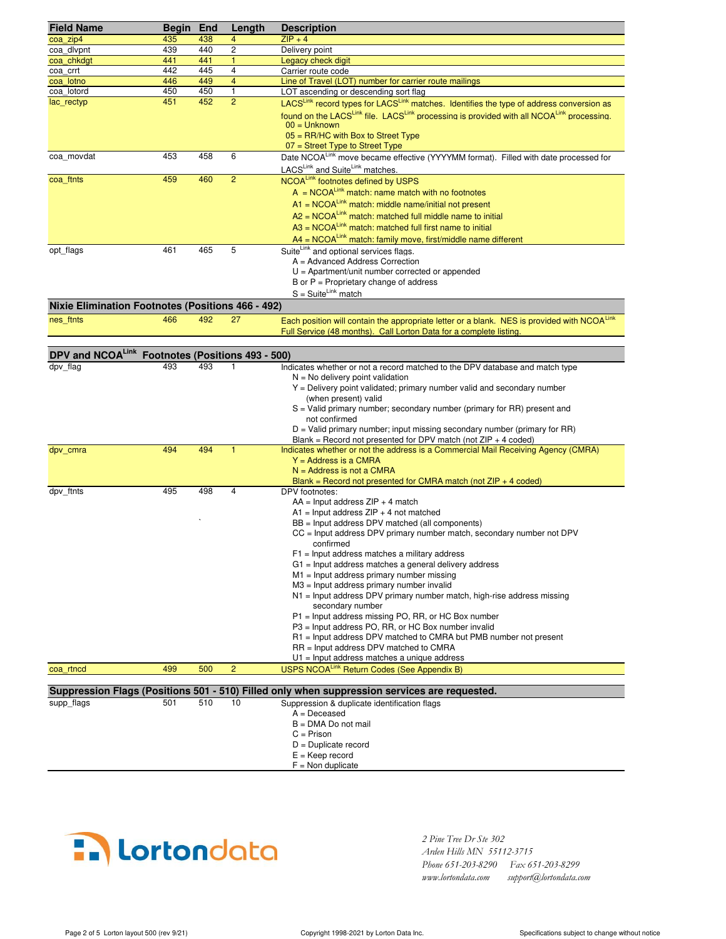| <b>Field Name</b>                                        | Begin End  |            | Length         | <b>Description</b>                                                                                                                                                |
|----------------------------------------------------------|------------|------------|----------------|-------------------------------------------------------------------------------------------------------------------------------------------------------------------|
| coa zip4                                                 | 435        | 438        | $\overline{4}$ | $ZIP + 4$                                                                                                                                                         |
| coa divpnt                                               | 439        | 440        | $\overline{2}$ | Delivery point                                                                                                                                                    |
| coa_chkdgt<br>coa crrt                                   | 441<br>442 | 441<br>445 | 1<br>4         | Legacy check digit<br>Carrier route code                                                                                                                          |
| coa lotno                                                | 446        | 449        | $\overline{4}$ | Line of Travel (LOT) number for carrier route mailings                                                                                                            |
| coa lotord                                               | 450        | 450        | $\mathbf{1}$   | LOT ascending or descending sort flag                                                                                                                             |
| lac_rectyp                                               | 451        | 452        | $\overline{2}$ | LACSLink record types for LACSLink matches. Identifies the type of address conversion as                                                                          |
|                                                          |            |            |                | found on the LACS <sup>Link</sup> file. LACS <sup>Link</sup> processing is provided with all NCOA <sup>Link</sup> processing.                                     |
|                                                          |            |            |                | $00 =$ Unknown                                                                                                                                                    |
|                                                          |            |            |                | $05 = RR/HC$ with Box to Street Type                                                                                                                              |
|                                                          | 453        | 458        | 6              | $07 =$ Street Type to Street Type<br>Date NCOALink move became effective (YYYYMM format). Filled with date processed for                                          |
| coa movdat                                               |            |            |                | LACSLink and SuiteLink matches.                                                                                                                                   |
| coa ftnts                                                | 459        | 460        | $\overline{2}$ | NCOALink footnotes defined by USPS                                                                                                                                |
|                                                          |            |            |                | $A = NCOA^{Link}$ match: name match with no footnotes                                                                                                             |
|                                                          |            |            |                | $A1 = NCOALink$ match: middle name/initial not present                                                                                                            |
|                                                          |            |            |                | $A2 = NCOA^{Link}$ match: matched full middle name to initial                                                                                                     |
|                                                          |            |            |                | $A3 = NCOA^{Link}$ match: matched full first name to initial                                                                                                      |
|                                                          |            |            |                | $AA = NCOA^{Link}$ match: family move, first/middle name different                                                                                                |
| opt flags                                                | 461        | 465        | 5              | Suite <sup>Link</sup> and optional services flags.                                                                                                                |
|                                                          |            |            |                | A = Advanced Address Correction                                                                                                                                   |
|                                                          |            |            |                | $U =$ Apartment/unit number corrected or appended                                                                                                                 |
|                                                          |            |            |                | B or $P =$ Proprietary change of address<br>$S = Suite^{Link}$ match                                                                                              |
|                                                          |            |            |                |                                                                                                                                                                   |
| <b>Nixie Elimination Footnotes (Positions 466 - 492)</b> | 466        | 492        | 27             |                                                                                                                                                                   |
| nes_ftnts                                                |            |            |                | Each position will contain the appropriate letter or a blank. NES is provided with NCOALink<br>Full Service (48 months). Call Lorton Data for a complete listing. |
|                                                          |            |            |                |                                                                                                                                                                   |
| DPV and NCOALink Footnotes (Positions 493 - 500)         |            |            |                |                                                                                                                                                                   |
| dpv flag                                                 | 493        | 493        | 1              | Indicates whether or not a record matched to the DPV database and match type                                                                                      |
|                                                          |            |            |                | $N = No$ delivery point validation                                                                                                                                |
|                                                          |            |            |                | Y = Delivery point validated; primary number valid and secondary number                                                                                           |
|                                                          |            |            |                | (when present) valid<br>$S =$ Valid primary number; secondary number (primary for RR) present and                                                                 |
|                                                          |            |            |                | not confirmed                                                                                                                                                     |
|                                                          |            |            |                | $D =$ Valid primary number; input missing secondary number (primary for RR)                                                                                       |
|                                                          |            |            |                | Blank = Record not presented for DPV match (not $ZIP + 4$ coded)                                                                                                  |
| dpv cmra                                                 | 494        | 494        | $\mathbf{1}$   | Indicates whether or not the address is a Commercial Mail Receiving Agency (CMRA)                                                                                 |
|                                                          |            |            |                | $Y =$ Address is a CMRA<br>$N =$ Address is not a CMRA                                                                                                            |
|                                                          |            |            |                | Blank = Record not presented for CMRA match (not $ZIP + 4$ coded)                                                                                                 |
| dpv ftnts                                                | 495        | 498        | $\overline{4}$ | DPV footnotes:                                                                                                                                                    |
|                                                          |            |            |                | $AA =$ Input address $ZIP + 4$ match                                                                                                                              |
|                                                          |            |            |                | $A1$ = Input address ZIP + 4 not matched                                                                                                                          |
|                                                          |            |            |                | BB = Input address DPV matched (all components)                                                                                                                   |
|                                                          |            |            |                | CC = Input address DPV primary number match, secondary number not DPV<br>confirmed                                                                                |
|                                                          |            |            |                | $F1$ = Input address matches a military address                                                                                                                   |
|                                                          |            |            |                | $G1$ = Input address matches a general delivery address                                                                                                           |
|                                                          |            |            |                | $M1$ = Input address primary number missing                                                                                                                       |
|                                                          |            |            |                | M3 = Input address primary number invalid                                                                                                                         |
|                                                          |            |            |                | $N1$ = Input address DPV primary number match, high-rise address missing<br>secondary number                                                                      |
|                                                          |            |            |                | P1 = Input address missing PO, RR, or HC Box number                                                                                                               |
|                                                          |            |            |                | P3 = Input address PO, RR, or HC Box number invalid                                                                                                               |
|                                                          |            |            |                | R1 = Input address DPV matched to CMRA but PMB number not present                                                                                                 |
|                                                          |            |            |                | RR = Input address DPV matched to CMRA                                                                                                                            |
| coa rtncd                                                | 499        | 500        | $\overline{c}$ | $U1$ = Input address matches a unique address<br>USPS NCOALink Return Codes (See Appendix B)                                                                      |
|                                                          |            |            |                |                                                                                                                                                                   |
|                                                          |            |            |                | Suppression Flags (Positions 501 - 510) Filled only when suppression services are requested.                                                                      |
| supp_flags                                               | 501        | 510        | 10             | Suppression & duplicate identification flags                                                                                                                      |
|                                                          |            |            |                | $A = Deceased$                                                                                                                                                    |
|                                                          |            |            |                | $B = DMA Do$ not mail<br>$C = Prison$                                                                                                                             |
|                                                          |            |            |                | $D =$ Duplicate record                                                                                                                                            |
|                                                          |            |            |                | $E = Keep record$                                                                                                                                                 |
|                                                          |            |            |                | $F =$ Non duplicate                                                                                                                                               |



 *2 Pine Tree Dr Ste 302 Arden Hills MN 55112-3715 Phone 651-203-8290 Fax 651-203-8299 www.lortondata.com support@lortondata.com*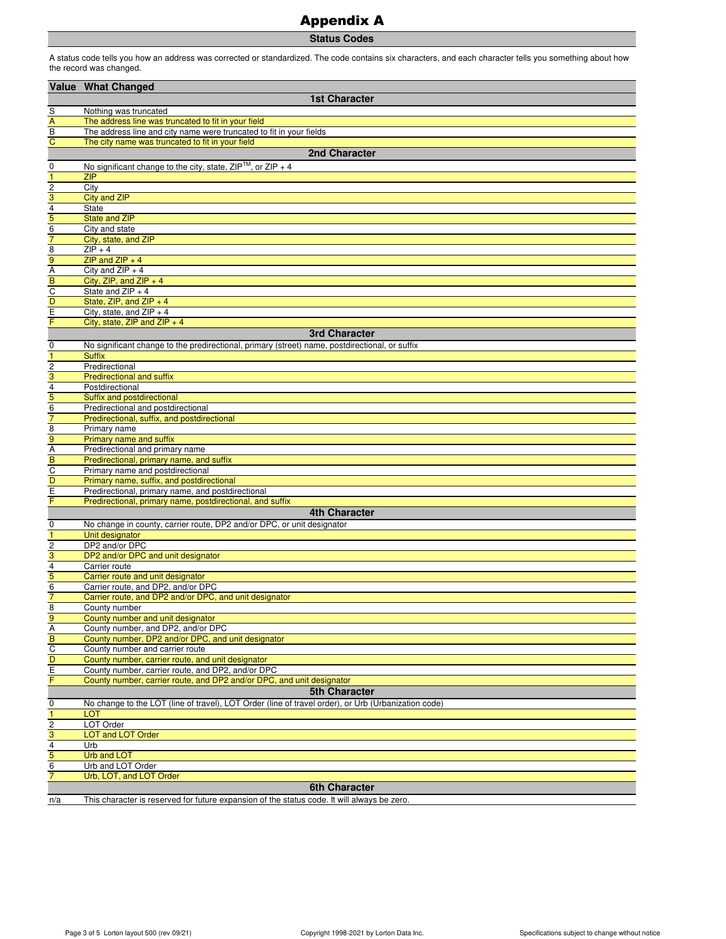## Appendix A

**Status Codes**

A status code tells you how an address was corrected or standardized. The code contains six characters, and each character tells you something about how the record was changed.

|                               | <b>Value What Changed</b>                                                                           |
|-------------------------------|-----------------------------------------------------------------------------------------------------|
|                               | <b>1st Character</b>                                                                                |
|                               |                                                                                                     |
| S<br>A                        | Nothing was truncated<br>The address line was truncated to fit in your field                        |
| $\overline{B}$                | The address line and city name were truncated to fit in your fields                                 |
| $\overline{C}$                | The city name was truncated to fit in your field                                                    |
|                               | 2nd Character                                                                                       |
| 0                             | No significant change to the city, state, $ZIP^{TM}$ , or $ZIP + 4$                                 |
| $\overline{1}$                | <b>ZIP</b>                                                                                          |
| $\overline{2}$                | City                                                                                                |
| $\overline{3}$                | <b>City and ZIP</b>                                                                                 |
| $\overline{4}$                | <b>State</b>                                                                                        |
| 5                             | <b>State and ZIP</b>                                                                                |
| $\overline{6}$                | City and state                                                                                      |
| $\overline{7}$                | City, state, and ZIP                                                                                |
| $\frac{8}{9}$                 | $ZIP + 4$                                                                                           |
|                               | ZIP and $ZIP + 4$<br>City and $ZIP + 4$                                                             |
| B                             | City, ZIP, and ZIP $+4$                                                                             |
|                               | State and $ZIP + 4$                                                                                 |
| $rac{C}{D}$                   | State, ZIP, and ZIP $+4$                                                                            |
| $rac{E}{F}$                   | City, state, and $ZIP + 4$                                                                          |
|                               | City, state, ZIP and ZIP $+4$                                                                       |
|                               | <b>3rd Character</b>                                                                                |
| $\mathbf 0$                   | No significant change to the predirectional, primary (street) name, postdirectional, or suffix      |
| $\mathbf{1}$                  | <b>Suffix</b>                                                                                       |
| $\frac{2}{3}$                 | Predirectional                                                                                      |
|                               | <b>Predirectional and suffix</b>                                                                    |
| $\overline{4}$                | Postdirectional                                                                                     |
|                               | Suffix and postdirectional<br>Predirectional and postdirectional                                    |
| $\frac{5}{6}$                 | Predirectional, suffix, and postdirectional                                                         |
| $\overline{8}$                | Primary name                                                                                        |
| 9                             | Primary name and suffix                                                                             |
| $\overline{A}$                | Predirectional and primary name                                                                     |
| $\frac{B}{C}$                 | Predirectional, primary name, and suffix                                                            |
|                               | Primary name and postdirectional                                                                    |
| $\frac{D}{E}$                 | Primary name, suffix, and postdirectional                                                           |
|                               | Predirectional, primary name, and postdirectional                                                   |
| F                             | Predirectional, primary name, postdirectional, and suffix                                           |
|                               | <b>4th Character</b>                                                                                |
| $\mathbf 0$<br>$\overline{1}$ | No change in county, carrier route, DP2 and/or DPC, or unit designator                              |
| $\overline{c}$                | Unit designator<br>DP2 and/or DPC                                                                   |
| $\overline{3}$                | DP2 and/or DPC and unit designator                                                                  |
| 4                             | Carrier route                                                                                       |
| 5                             | Carrier route and unit designator                                                                   |
| $\overline{6}$                | Carrier route, and DP2, and/or DPC                                                                  |
| $\overline{7}$                | Carrier route, and DP2 and/or DPC, and unit designator                                              |
| 8                             | County number                                                                                       |
| 9                             | County number and unit designator                                                                   |
| A                             | County number, and DP2, and/or DPC                                                                  |
| B                             | County number, DP2 and/or DPC, and unit designator                                                  |
| $\overline{C}$<br>D           | County number and carrier route<br>County number, carrier route, and unit designator                |
| $\overline{E}$                | County number, carrier route, and DP2, and/or DPC                                                   |
| F                             | County number, carrier route, and DP2 and/or DPC, and unit designator                               |
|                               | <b>5th Character</b>                                                                                |
| 0                             | No change to the LOT (line of travel), LOT Order (line of travel order), or Urb (Urbanization code) |
| $\mathbf{1}$                  | <b>LOT</b>                                                                                          |
| $\overline{c}$                | LOT Order                                                                                           |
| $\overline{3}$                | <b>LOT and LOT Order</b>                                                                            |
| $\overline{4}$                | Urb                                                                                                 |
| 5                             | <b>Urb and LOT</b>                                                                                  |
| 6                             | Urb and LOT Order                                                                                   |
| $\overline{7}$                | Urb, LOT, and LOT Order                                                                             |
|                               | <b>6th Character</b>                                                                                |
| n/a                           | This character is reserved for future expansion of the status code. It will always be zero.         |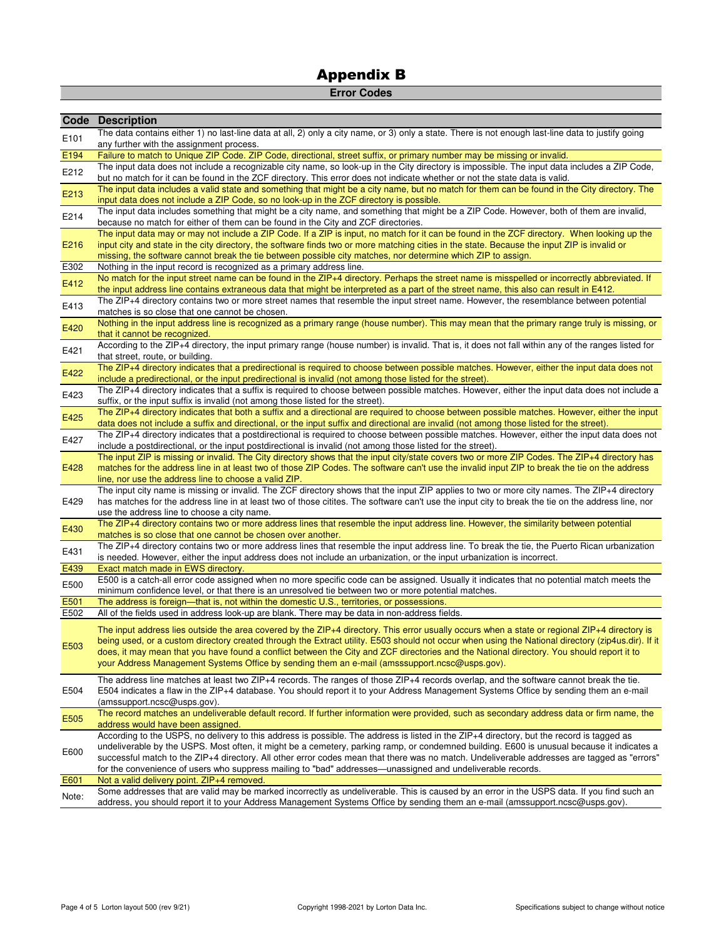## **Error Codes**

|       | <b>Code Description</b>                                                                                                                                                                                                                                                                                                                                                                                                                                                                                                                           |
|-------|---------------------------------------------------------------------------------------------------------------------------------------------------------------------------------------------------------------------------------------------------------------------------------------------------------------------------------------------------------------------------------------------------------------------------------------------------------------------------------------------------------------------------------------------------|
| E101  | The data contains either 1) no last-line data at all, 2) only a city name, or 3) only a state. There is not enough last-line data to justify going<br>any further with the assignment process.                                                                                                                                                                                                                                                                                                                                                    |
| E194  | Failure to match to Unique ZIP Code. ZIP Code, directional, street suffix, or primary number may be missing or invalid.                                                                                                                                                                                                                                                                                                                                                                                                                           |
| E212  | The input data does not include a recognizable city name, so look-up in the City directory is impossible. The input data includes a ZIP Code,                                                                                                                                                                                                                                                                                                                                                                                                     |
|       | but no match for it can be found in the ZCF directory. This error does not indicate whether or not the state data is valid.                                                                                                                                                                                                                                                                                                                                                                                                                       |
| E213  | The input data includes a valid state and something that might be a city name, but no match for them can be found in the City directory. The<br>input data does not include a ZIP Code, so no look-up in the ZCF directory is possible.                                                                                                                                                                                                                                                                                                           |
| E214  | The input data includes something that might be a city name, and something that might be a ZIP Code. However, both of them are invalid,<br>because no match for either of them can be found in the City and ZCF directories.                                                                                                                                                                                                                                                                                                                      |
| E216  | The input data may or may not include a ZIP Code. If a ZIP is input, no match for it can be found in the ZCF directory. When looking up the<br>input city and state in the city directory, the software finds two or more matching cities in the state. Because the input ZIP is invalid or<br>missing, the software cannot break the tie between possible city matches, nor determine which ZIP to assign.                                                                                                                                       |
| E302  | Nothing in the input record is recognized as a primary address line.                                                                                                                                                                                                                                                                                                                                                                                                                                                                              |
| E412  | No match for the input street name can be found in the ZIP+4 directory. Perhaps the street name is misspelled or incorrectly abbreviated. If<br>the input address line contains extraneous data that might be interpreted as a part of the street name, this also can result in E412.                                                                                                                                                                                                                                                             |
| E413  | The ZIP+4 directory contains two or more street names that resemble the input street name. However, the resemblance between potential<br>matches is so close that one cannot be chosen.                                                                                                                                                                                                                                                                                                                                                           |
| E420  | Nothing in the input address line is recognized as a primary range (house number). This may mean that the primary range truly is missing, or<br>that it cannot be recognized.                                                                                                                                                                                                                                                                                                                                                                     |
| E421  | According to the ZIP+4 directory, the input primary range (house number) is invalid. That is, it does not fall within any of the ranges listed for<br>that street, route, or building.                                                                                                                                                                                                                                                                                                                                                            |
| E422  | The ZIP+4 directory indicates that a predirectional is required to choose between possible matches. However, either the input data does not<br>include a predirectional, or the input predirectional is invalid (not among those listed for the street).                                                                                                                                                                                                                                                                                          |
| E423  | The ZIP+4 directory indicates that a suffix is required to choose between possible matches. However, either the input data does not include a<br>suffix, or the input suffix is invalid (not among those listed for the street).                                                                                                                                                                                                                                                                                                                  |
| E425  | The ZIP+4 directory indicates that both a suffix and a directional are required to choose between possible matches. However, either the input<br>data does not include a suffix and directional, or the input suffix and directional are invalid (not among those listed for the street).                                                                                                                                                                                                                                                         |
| E427  | The ZIP+4 directory indicates that a postdirectional is required to choose between possible matches. However, either the input data does not<br>include a postdirectional, or the input postdirectional is invalid (not among those listed for the street).                                                                                                                                                                                                                                                                                       |
| E428  | The input ZIP is missing or invalid. The City directory shows that the input city/state covers two or more ZIP Codes. The ZIP+4 directory has<br>matches for the address line in at least two of those ZIP Codes. The software can't use the invalid input ZIP to break the tie on the address                                                                                                                                                                                                                                                    |
|       | line, nor use the address line to choose a valid ZIP.                                                                                                                                                                                                                                                                                                                                                                                                                                                                                             |
| E429  | The input city name is missing or invalid. The ZCF directory shows that the input ZIP applies to two or more city names. The ZIP+4 directory<br>has matches for the address line in at least two of those citites. The software can't use the input city to break the tie on the address line, nor                                                                                                                                                                                                                                                |
|       | use the address line to choose a city name.                                                                                                                                                                                                                                                                                                                                                                                                                                                                                                       |
| E430  | The ZIP+4 directory contains two or more address lines that resemble the input address line. However, the similarity between potential<br>matches is so close that one cannot be chosen over another.                                                                                                                                                                                                                                                                                                                                             |
| E431  | The ZIP+4 directory contains two or more address lines that resemble the input address line. To break the tie, the Puerto Rican urbanization                                                                                                                                                                                                                                                                                                                                                                                                      |
| E439  | is needed. However, either the input address does not include an urbanization, or the input urbanization is incorrect.<br>Exact match made in EWS directory.                                                                                                                                                                                                                                                                                                                                                                                      |
|       | E500 is a catch-all error code assigned when no more specific code can be assigned. Usually it indicates that no potential match meets the                                                                                                                                                                                                                                                                                                                                                                                                        |
| E500  | minimum confidence level, or that there is an unresolved tie between two or more potential matches.                                                                                                                                                                                                                                                                                                                                                                                                                                               |
| E501  | The address is foreign—that is, not within the domestic U.S., territories, or possessions.                                                                                                                                                                                                                                                                                                                                                                                                                                                        |
| E502  | All of the fields used in address look-up are blank. There may be data in non-address fields.                                                                                                                                                                                                                                                                                                                                                                                                                                                     |
| E503  | The input address lies outside the area covered by the ZIP+4 directory. This error usually occurs when a state or regional ZIP+4 directory is<br>being used, or a custom directory created through the Extract utility. E503 should not occur when using the National directory (zip4us.dir). If it<br>does, it may mean that you have found a conflict between the City and ZCF directories and the National directory. You should report it to<br>your Address Management Systems Office by sending them an e-mail (amsssupport.ncsc@usps.gov). |
| E504  | The address line matches at least two ZIP+4 records. The ranges of those ZIP+4 records overlap, and the software cannot break the tie.<br>E504 indicates a flaw in the ZIP+4 database. You should report it to your Address Management Systems Office by sending them an e-mail                                                                                                                                                                                                                                                                   |
| E505  | (amssupport.ncsc@usps.gov).<br>The record matches an undeliverable default record. If further information were provided, such as secondary address data or firm name, the<br>address would have been assigned.                                                                                                                                                                                                                                                                                                                                    |
| E600  | According to the USPS, no delivery to this address is possible. The address is listed in the ZIP+4 directory, but the record is tagged as<br>undeliverable by the USPS. Most often, it might be a cemetery, parking ramp, or condemned building. E600 is unusual because it indicates a<br>successful match to the ZIP+4 directory. All other error codes mean that there was no match. Undeliverable addresses are tagged as "errors"                                                                                                            |
|       | for the convenience of users who suppress mailing to "bad" addresses—unassigned and undeliverable records.                                                                                                                                                                                                                                                                                                                                                                                                                                        |
| E601  | Not a valid delivery point. ZIP+4 removed.                                                                                                                                                                                                                                                                                                                                                                                                                                                                                                        |
| Note: | Some addresses that are valid may be marked incorrectly as undeliverable. This is caused by an error in the USPS data. If you find such an<br>address, you should report it to your Address Management Systems Office by sending them an e-mail (amssupport.ncsc@usps.gov).                                                                                                                                                                                                                                                                       |